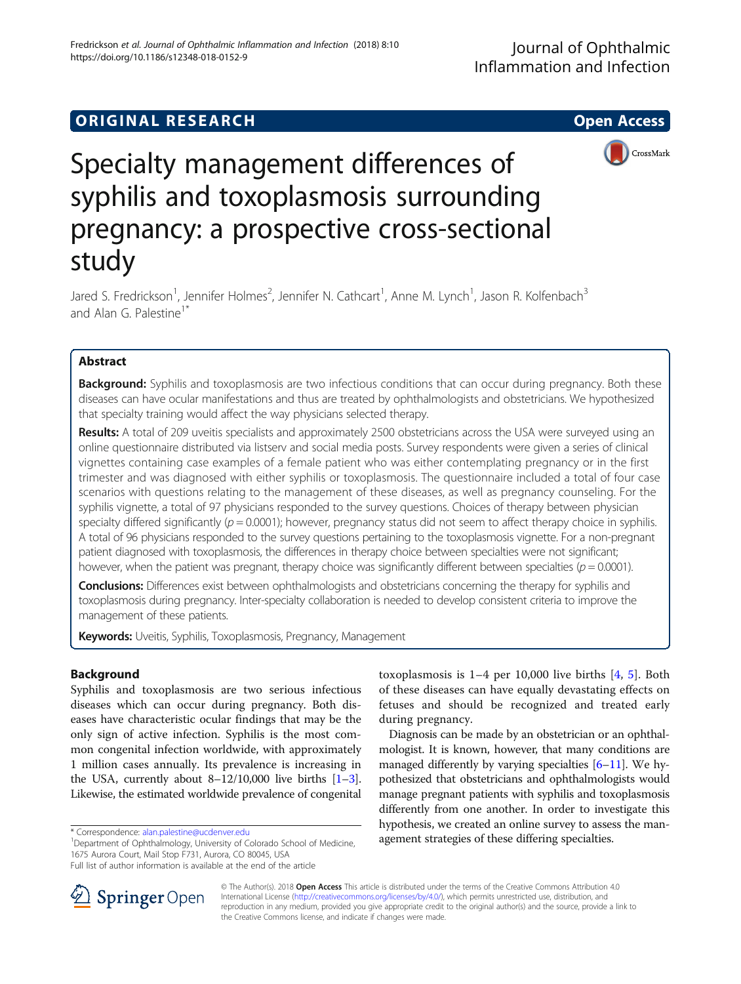# **ORIGINAL RESEARCH CONSUMING ACCESS**



# Specialty management differences of syphilis and toxoplasmosis surrounding pregnancy: a prospective cross-sectional study

Jared S. Fredrickson<sup>1</sup>, Jennifer Holmes<sup>2</sup>, Jennifer N. Cathcart<sup>1</sup>, Anne M. Lynch<sup>1</sup>, Jason R. Kolfenbach<sup>3</sup> and Alan G. Palestine<sup>1\*</sup>

# Abstract

Background: Syphilis and toxoplasmosis are two infectious conditions that can occur during pregnancy. Both these diseases can have ocular manifestations and thus are treated by ophthalmologists and obstetricians. We hypothesized that specialty training would affect the way physicians selected therapy.

Results: A total of 209 uveitis specialists and approximately 2500 obstetricians across the USA were surveyed using an online questionnaire distributed via listserv and social media posts. Survey respondents were given a series of clinical vignettes containing case examples of a female patient who was either contemplating pregnancy or in the first trimester and was diagnosed with either syphilis or toxoplasmosis. The questionnaire included a total of four case scenarios with questions relating to the management of these diseases, as well as pregnancy counseling. For the syphilis vignette, a total of 97 physicians responded to the survey questions. Choices of therapy between physician specialty differed significantly ( $p = 0.0001$ ); however, pregnancy status did not seem to affect therapy choice in syphilis. A total of 96 physicians responded to the survey questions pertaining to the toxoplasmosis vignette. For a non-pregnant patient diagnosed with toxoplasmosis, the differences in therapy choice between specialties were not significant; however, when the patient was pregnant, therapy choice was significantly different between specialties ( $p = 0.0001$ ).

Conclusions: Differences exist between ophthalmologists and obstetricians concerning the therapy for syphilis and toxoplasmosis during pregnancy. Inter-specialty collaboration is needed to develop consistent criteria to improve the management of these patients.

Keywords: Uveitis, Syphilis, Toxoplasmosis, Pregnancy, Management

# Background

Syphilis and toxoplasmosis are two serious infectious diseases which can occur during pregnancy. Both diseases have characteristic ocular findings that may be the only sign of active infection. Syphilis is the most common congenital infection worldwide, with approximately 1 million cases annually. Its prevalence is increasing in the USA, currently about  $8-12/10,000$  live births  $[1-3]$  $[1-3]$  $[1-3]$  $[1-3]$ . Likewise, the estimated worldwide prevalence of congenital

<sup>1</sup>Department of Ophthalmology, University of Colorado School of Medicine, 1675 Aurora Court, Mail Stop F731, Aurora, CO 80045, USA



Diagnosis can be made by an obstetrician or an ophthalmologist. It is known, however, that many conditions are managed differently by varying specialties [\[6](#page-4-0)–[11\]](#page-4-0). We hypothesized that obstetricians and ophthalmologists would manage pregnant patients with syphilis and toxoplasmosis differently from one another. In order to investigate this hypothesis, we created an online survey to assess the man\* Correspondence: [alan.palestine@ucdenver.edu](mailto:alan.palestine@ucdenver.edu)<br>
<sup>1</sup>Department of Ophthalmology University of Colorado School of Medicine **agement strategies of these differing specialties.** 



© The Author(s). 2018 Open Access This article is distributed under the terms of the Creative Commons Attribution 4.0 International License ([http://creativecommons.org/licenses/by/4.0/\)](http://creativecommons.org/licenses/by/4.0/), which permits unrestricted use, distribution, and reproduction in any medium, provided you give appropriate credit to the original author(s) and the source, provide a link to the Creative Commons license, and indicate if changes were made.

Full list of author information is available at the end of the article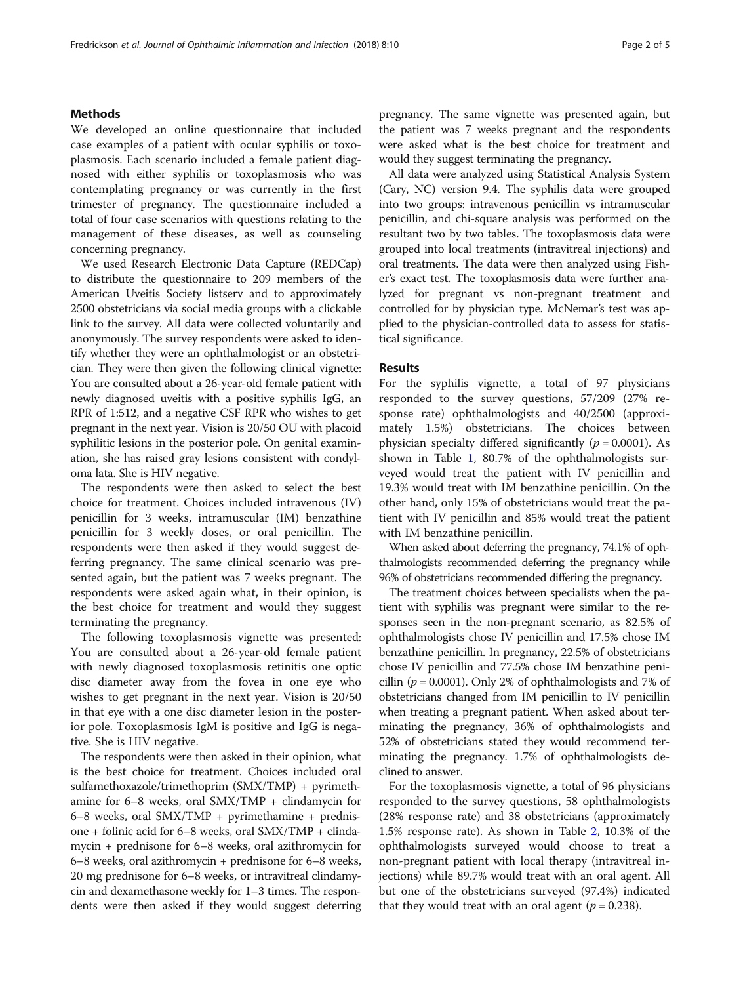# Methods

We developed an online questionnaire that included case examples of a patient with ocular syphilis or toxoplasmosis. Each scenario included a female patient diagnosed with either syphilis or toxoplasmosis who was contemplating pregnancy or was currently in the first trimester of pregnancy. The questionnaire included a total of four case scenarios with questions relating to the management of these diseases, as well as counseling concerning pregnancy.

We used Research Electronic Data Capture (REDCap) to distribute the questionnaire to 209 members of the American Uveitis Society listserv and to approximately 2500 obstetricians via social media groups with a clickable link to the survey. All data were collected voluntarily and anonymously. The survey respondents were asked to identify whether they were an ophthalmologist or an obstetrician. They were then given the following clinical vignette: You are consulted about a 26-year-old female patient with newly diagnosed uveitis with a positive syphilis IgG, an RPR of 1:512, and a negative CSF RPR who wishes to get pregnant in the next year. Vision is 20/50 OU with placoid syphilitic lesions in the posterior pole. On genital examination, she has raised gray lesions consistent with condyloma lata. She is HIV negative.

The respondents were then asked to select the best choice for treatment. Choices included intravenous (IV) penicillin for 3 weeks, intramuscular (IM) benzathine penicillin for 3 weekly doses, or oral penicillin. The respondents were then asked if they would suggest deferring pregnancy. The same clinical scenario was presented again, but the patient was 7 weeks pregnant. The respondents were asked again what, in their opinion, is the best choice for treatment and would they suggest terminating the pregnancy.

The following toxoplasmosis vignette was presented: You are consulted about a 26-year-old female patient with newly diagnosed toxoplasmosis retinitis one optic disc diameter away from the fovea in one eye who wishes to get pregnant in the next year. Vision is 20/50 in that eye with a one disc diameter lesion in the posterior pole. Toxoplasmosis IgM is positive and IgG is negative. She is HIV negative.

The respondents were then asked in their opinion, what is the best choice for treatment. Choices included oral sulfamethoxazole/trimethoprim (SMX/TMP) + pyrimethamine for 6–8 weeks, oral SMX/TMP + clindamycin for 6–8 weeks, oral SMX/TMP + pyrimethamine + prednisone + folinic acid for 6–8 weeks, oral SMX/TMP + clindamycin + prednisone for 6–8 weeks, oral azithromycin for 6–8 weeks, oral azithromycin + prednisone for 6–8 weeks, 20 mg prednisone for 6–8 weeks, or intravitreal clindamycin and dexamethasone weekly for 1–3 times. The respondents were then asked if they would suggest deferring pregnancy. The same vignette was presented again, but the patient was 7 weeks pregnant and the respondents were asked what is the best choice for treatment and would they suggest terminating the pregnancy.

All data were analyzed using Statistical Analysis System (Cary, NC) version 9.4. The syphilis data were grouped into two groups: intravenous penicillin vs intramuscular penicillin, and chi-square analysis was performed on the resultant two by two tables. The toxoplasmosis data were grouped into local treatments (intravitreal injections) and oral treatments. The data were then analyzed using Fisher's exact test. The toxoplasmosis data were further analyzed for pregnant vs non-pregnant treatment and controlled for by physician type. McNemar's test was applied to the physician-controlled data to assess for statistical significance.

## Results

For the syphilis vignette, a total of 97 physicians responded to the survey questions, 57/209 (27% response rate) ophthalmologists and 40/2500 (approximately 1.5%) obstetricians. The choices between physician specialty differed significantly ( $p = 0.0001$ ). As shown in Table [1,](#page-2-0) 80.7% of the ophthalmologists surveyed would treat the patient with IV penicillin and 19.3% would treat with IM benzathine penicillin. On the other hand, only 15% of obstetricians would treat the patient with IV penicillin and 85% would treat the patient with IM benzathine penicillin.

When asked about deferring the pregnancy, 74.1% of ophthalmologists recommended deferring the pregnancy while 96% of obstetricians recommended differing the pregnancy.

The treatment choices between specialists when the patient with syphilis was pregnant were similar to the responses seen in the non-pregnant scenario, as 82.5% of ophthalmologists chose IV penicillin and 17.5% chose IM benzathine penicillin. In pregnancy, 22.5% of obstetricians chose IV penicillin and 77.5% chose IM benzathine penicillin ( $p = 0.0001$ ). Only 2% of ophthalmologists and 7% of obstetricians changed from IM penicillin to IV penicillin when treating a pregnant patient. When asked about terminating the pregnancy, 36% of ophthalmologists and 52% of obstetricians stated they would recommend terminating the pregnancy. 1.7% of ophthalmologists declined to answer.

For the toxoplasmosis vignette, a total of 96 physicians responded to the survey questions, 58 ophthalmologists (28% response rate) and 38 obstetricians (approximately 1.5% response rate). As shown in Table [2](#page-2-0), 10.3% of the ophthalmologists surveyed would choose to treat a non-pregnant patient with local therapy (intravitreal injections) while 89.7% would treat with an oral agent. All but one of the obstetricians surveyed (97.4%) indicated that they would treat with an oral agent ( $p = 0.238$ ).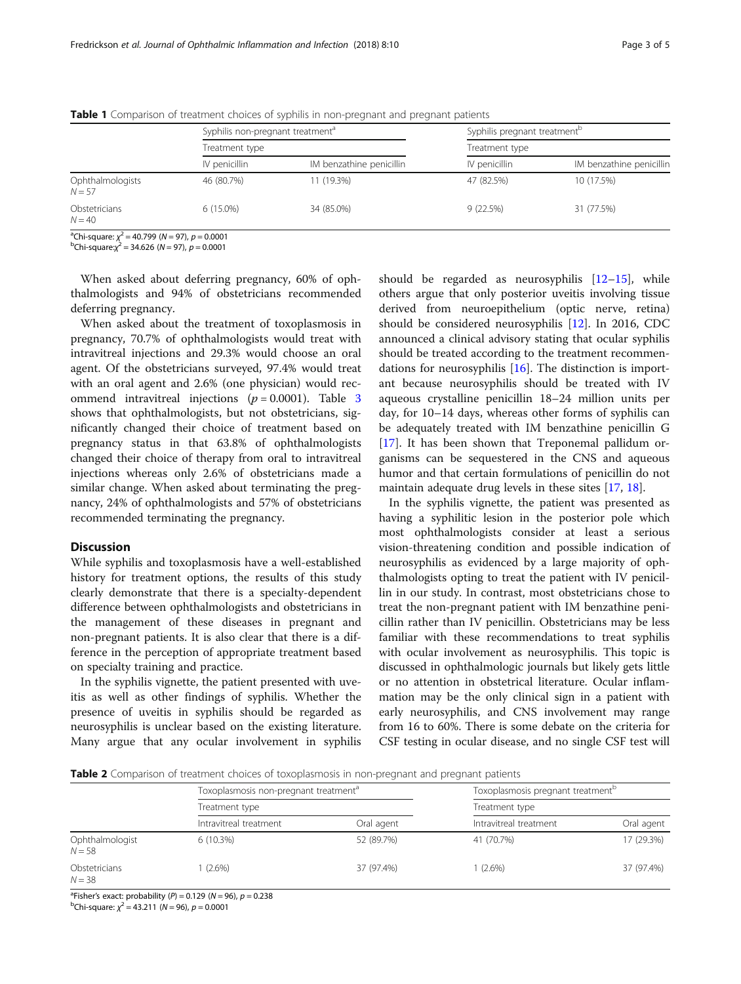|                              | Syphilis non-pregnant treatment <sup>a</sup> |                          | Syphilis pregnant treatment <sup>p</sup> |                          |  |
|------------------------------|----------------------------------------------|--------------------------|------------------------------------------|--------------------------|--|
|                              | Treatment type                               |                          | Treatment type                           |                          |  |
|                              | IV penicillin                                | IM benzathine penicillin | IV penicillin                            | IM benzathine penicillin |  |
| Ophthalmologists<br>$N = 57$ | 46 (80.7%)                                   | 11 (19.3%)               | 47 (82.5%)                               | 10 (17.5%)               |  |
| Obstetricians<br>$N = 40$    | $6(15.0\%)$                                  | 34 (85.0%)               | 9(22.5%)                                 | 31 (77.5%)               |  |

<span id="page-2-0"></span>Table 1 Comparison of treatment choices of syphilis in non-pregnant and pregnant patients

<sup>a</sup>Chi-square:  $\chi^2$  = 40.799 (N = 97), p = 0.0001<br><sup>b</sup>Chi squarov: = 24.636 (N = 97), p = 0.0001

Chi-square: $\chi^2$  = 34.626 (N = 97),  $p$  = 0.0001

When asked about deferring pregnancy, 60% of ophthalmologists and 94% of obstetricians recommended deferring pregnancy.

When asked about the treatment of toxoplasmosis in pregnancy, 70.7% of ophthalmologists would treat with intravitreal injections and 29.3% would choose an oral agent. Of the obstetricians surveyed, 97.4% would treat with an oral agent and 2.6% (one physician) would recommend intravitreal injections ( $p = 0.0001$ ). Table [3](#page-3-0) shows that ophthalmologists, but not obstetricians, significantly changed their choice of treatment based on pregnancy status in that 63.8% of ophthalmologists changed their choice of therapy from oral to intravitreal injections whereas only 2.6% of obstetricians made a similar change. When asked about terminating the pregnancy, 24% of ophthalmologists and 57% of obstetricians recommended terminating the pregnancy.

## **Discussion**

While syphilis and toxoplasmosis have a well-established history for treatment options, the results of this study clearly demonstrate that there is a specialty-dependent difference between ophthalmologists and obstetricians in the management of these diseases in pregnant and non-pregnant patients. It is also clear that there is a difference in the perception of appropriate treatment based on specialty training and practice.

In the syphilis vignette, the patient presented with uveitis as well as other findings of syphilis. Whether the presence of uveitis in syphilis should be regarded as neurosyphilis is unclear based on the existing literature. Many argue that any ocular involvement in syphilis should be regarded as neurosyphilis  $[12-15]$  $[12-15]$  $[12-15]$  $[12-15]$  $[12-15]$ , while others argue that only posterior uveitis involving tissue derived from neuroepithelium (optic nerve, retina) should be considered neurosyphilis [[12\]](#page-4-0). In 2016, CDC announced a clinical advisory stating that ocular syphilis should be treated according to the treatment recommendations for neurosyphilis  $[16]$ . The distinction is important because neurosyphilis should be treated with IV aqueous crystalline penicillin 18–24 million units per day, for 10–14 days, whereas other forms of syphilis can be adequately treated with IM benzathine penicillin G [[17\]](#page-4-0). It has been shown that Treponemal pallidum organisms can be sequestered in the CNS and aqueous humor and that certain formulations of penicillin do not maintain adequate drug levels in these sites [[17,](#page-4-0) [18\]](#page-4-0).

In the syphilis vignette, the patient was presented as having a syphilitic lesion in the posterior pole which most ophthalmologists consider at least a serious vision-threatening condition and possible indication of neurosyphilis as evidenced by a large majority of ophthalmologists opting to treat the patient with IV penicillin in our study. In contrast, most obstetricians chose to treat the non-pregnant patient with IM benzathine penicillin rather than IV penicillin. Obstetricians may be less familiar with these recommendations to treat syphilis with ocular involvement as neurosyphilis. This topic is discussed in ophthalmologic journals but likely gets little or no attention in obstetrical literature. Ocular inflammation may be the only clinical sign in a patient with early neurosyphilis, and CNS involvement may range from 16 to 60%. There is some debate on the criteria for CSF testing in ocular disease, and no single CSF test will

Table 2 Comparison of treatment choices of toxoplasmosis in non-pregnant and pregnant patients

|                             | Toxoplasmosis non-pregnant treatment <sup>a</sup> |            | Toxoplasmosis pregnant treatment <sup>o</sup> |            |  |
|-----------------------------|---------------------------------------------------|------------|-----------------------------------------------|------------|--|
|                             | Treatment type                                    |            | Treatment type                                |            |  |
|                             | Intravitreal treatment                            | Oral agent | Intravitreal treatment                        | Oral agent |  |
| Ophthalmologist<br>$N = 58$ | 6(10.3%)                                          | 52 (89.7%) | 41 (70.7%)                                    | 17 (29.3%) |  |
| Obstetricians<br>$N = 38$   | $(2.6\%)$                                         | 37 (97.4%) | $(2.6\%)$                                     | 37 (97.4%) |  |

<sup>a</sup> Fisher's exact: probability (*P*) = 0.129 (*N* = 96), *p* = 0.238<br><sup>b</sup>Chi-square:  $v^2 = 43.211$  (*N* = 96), p = 0.0001 Chi-square:  $\chi^2$  = 43.211 (N = 96), p = 0.0001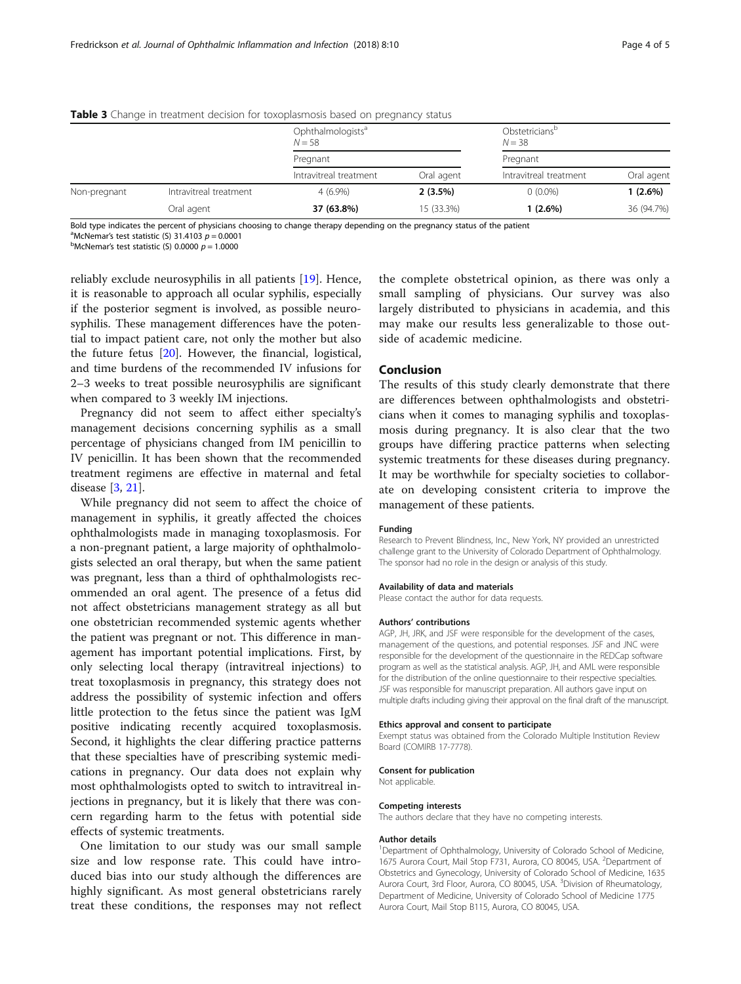|              |                        | Ophthalmologists <sup>a</sup><br>$N = 58$<br>Pregnant |            | Obstetricians <sup>b</sup><br>$N = 38$<br>Pregnant |            |
|--------------|------------------------|-------------------------------------------------------|------------|----------------------------------------------------|------------|
|              |                        |                                                       |            |                                                    |            |
|              |                        | Intravitreal treatment                                | Oral agent | Intravitreal treatment                             | Oral agent |
| Non-pregnant | Intravitreal treatment | $4(6.9\%)$                                            | 2(3.5%)    | $0(0.0\%)$                                         | $1(2.6\%)$ |
|              | Oral agent             | 37 (63.8%)                                            | 15 (33.3%) | 1(2.6%)                                            | 36 (94.7%) |

<span id="page-3-0"></span>Table 3 Change in treatment decision for toxoplasmosis based on pregnancy status

Bold type indicates the percent of physicians choosing to change therapy depending on the pregnancy status of the patient <sup>a</sup>McNemar's test statistic (S) 31.4103  $p = 0.0001$ <br>bMcNemar's test statistic (S) 0.0000  $p = 1.0000$ 

<sup>b</sup>McNemar's test statistic (S) 0.0000  $p = 1.0000$ 

reliably exclude neurosyphilis in all patients [[19\]](#page-4-0). Hence, it is reasonable to approach all ocular syphilis, especially if the posterior segment is involved, as possible neurosyphilis. These management differences have the potential to impact patient care, not only the mother but also the future fetus [\[20\]](#page-4-0). However, the financial, logistical, and time burdens of the recommended IV infusions for 2–3 weeks to treat possible neurosyphilis are significant when compared to 3 weekly IM injections.

Pregnancy did not seem to affect either specialty's management decisions concerning syphilis as a small percentage of physicians changed from IM penicillin to IV penicillin. It has been shown that the recommended treatment regimens are effective in maternal and fetal disease [\[3](#page-4-0), [21](#page-4-0)].

While pregnancy did not seem to affect the choice of management in syphilis, it greatly affected the choices ophthalmologists made in managing toxoplasmosis. For a non-pregnant patient, a large majority of ophthalmologists selected an oral therapy, but when the same patient was pregnant, less than a third of ophthalmologists recommended an oral agent. The presence of a fetus did not affect obstetricians management strategy as all but one obstetrician recommended systemic agents whether the patient was pregnant or not. This difference in management has important potential implications. First, by only selecting local therapy (intravitreal injections) to treat toxoplasmosis in pregnancy, this strategy does not address the possibility of systemic infection and offers little protection to the fetus since the patient was IgM positive indicating recently acquired toxoplasmosis. Second, it highlights the clear differing practice patterns that these specialties have of prescribing systemic medications in pregnancy. Our data does not explain why most ophthalmologists opted to switch to intravitreal injections in pregnancy, but it is likely that there was concern regarding harm to the fetus with potential side effects of systemic treatments.

One limitation to our study was our small sample size and low response rate. This could have introduced bias into our study although the differences are highly significant. As most general obstetricians rarely treat these conditions, the responses may not reflect

the complete obstetrical opinion, as there was only a small sampling of physicians. Our survey was also largely distributed to physicians in academia, and this may make our results less generalizable to those outside of academic medicine.

### Conclusion

The results of this study clearly demonstrate that there are differences between ophthalmologists and obstetricians when it comes to managing syphilis and toxoplasmosis during pregnancy. It is also clear that the two groups have differing practice patterns when selecting systemic treatments for these diseases during pregnancy. It may be worthwhile for specialty societies to collaborate on developing consistent criteria to improve the management of these patients.

#### Funding

Research to Prevent Blindness, Inc., New York, NY provided an unrestricted challenge grant to the University of Colorado Department of Ophthalmology. The sponsor had no role in the design or analysis of this study.

#### Availability of data and materials

Please contact the author for data requests.

#### Authors' contributions

AGP, JH, JRK, and JSF were responsible for the development of the cases, management of the questions, and potential responses. JSF and JNC were responsible for the development of the questionnaire in the REDCap software program as well as the statistical analysis. AGP, JH, and AML were responsible for the distribution of the online questionnaire to their respective specialties. JSF was responsible for manuscript preparation. All authors gave input on multiple drafts including giving their approval on the final draft of the manuscript.

## Ethics approval and consent to participate

Exempt status was obtained from the Colorado Multiple Institution Review Board (COMIRB 17-7778).

#### Consent for publication

Not applicable.

#### Competing interests

The authors declare that they have no competing interests.

#### Author details

<sup>1</sup>Department of Ophthalmology, University of Colorado School of Medicine 1675 Aurora Court, Mail Stop F731, Aurora, CO 80045, USA. <sup>2</sup> Department of Obstetrics and Gynecology, University of Colorado School of Medicine, 1635 Aurora Court, 3rd Floor, Aurora, CO 80045, USA. <sup>3</sup> Division of Rheumatology Department of Medicine, University of Colorado School of Medicine 1775 Aurora Court, Mail Stop B115, Aurora, CO 80045, USA.